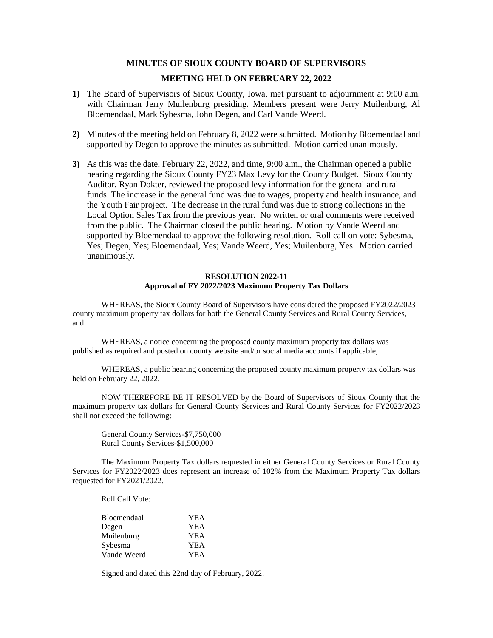## **MINUTES OF SIOUX COUNTY BOARD OF SUPERVISORS**

# **MEETING HELD ON FEBRUARY 22, 2022**

- **1)** The Board of Supervisors of Sioux County, Iowa, met pursuant to adjournment at 9:00 a.m. with Chairman Jerry Muilenburg presiding. Members present were Jerry Muilenburg, Al Bloemendaal, Mark Sybesma, John Degen, and Carl Vande Weerd.
- **2)** Minutes of the meeting held on February 8, 2022 were submitted. Motion by Bloemendaal and supported by Degen to approve the minutes as submitted. Motion carried unanimously.
- **3)** As this was the date, February 22, 2022, and time, 9:00 a.m., the Chairman opened a public hearing regarding the Sioux County FY23 Max Levy for the County Budget. Sioux County Auditor, Ryan Dokter, reviewed the proposed levy information for the general and rural funds. The increase in the general fund was due to wages, property and health insurance, and the Youth Fair project. The decrease in the rural fund was due to strong collections in the Local Option Sales Tax from the previous year. No written or oral comments were received from the public. The Chairman closed the public hearing. Motion by Vande Weerd and supported by Bloemendaal to approve the following resolution. Roll call on vote: Sybesma, Yes; Degen, Yes; Bloemendaal, Yes; Vande Weerd, Yes; Muilenburg, Yes. Motion carried unanimously.

### **RESOLUTION 2022-11 Approval of FY 2022/2023 Maximum Property Tax Dollars**

WHEREAS, the Sioux County Board of Supervisors have considered the proposed FY2022/2023 county maximum property tax dollars for both the General County Services and Rural County Services, and

WHEREAS, a notice concerning the proposed county maximum property tax dollars was published as required and posted on county website and/or social media accounts if applicable,

WHEREAS, a public hearing concerning the proposed county maximum property tax dollars was held on February 22, 2022,

NOW THEREFORE BE IT RESOLVED by the Board of Supervisors of Sioux County that the maximum property tax dollars for General County Services and Rural County Services for FY2022/2023 shall not exceed the following:

General County Services-\$7,750,000 Rural County Services-\$1,500,000

The Maximum Property Tax dollars requested in either General County Services or Rural County Services for FY2022/2023 does represent an increase of 102% from the Maximum Property Tax dollars requested for FY2021/2022.

Roll Call Vote:

| Bloemendaal | YEA        |
|-------------|------------|
| Degen       | <b>YEA</b> |
| Muilenburg  | YEA        |
| Sybesma     | <b>YEA</b> |
| Vande Weerd | YEA        |

Signed and dated this 22nd day of February, 2022.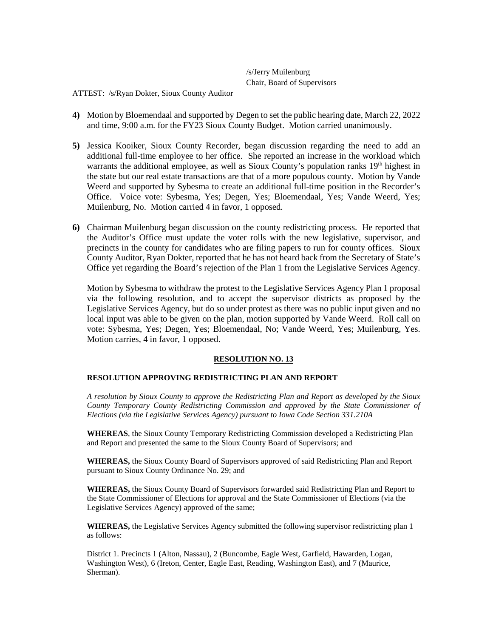/s/Jerry Muilenburg Chair, Board of Supervisors

ATTEST: /s/Ryan Dokter, Sioux County Auditor

- **4)** Motion by Bloemendaal and supported by Degen to set the public hearing date, March 22, 2022 and time, 9:00 a.m. for the FY23 Sioux County Budget. Motion carried unanimously.
- **5)** Jessica Kooiker, Sioux County Recorder, began discussion regarding the need to add an additional full-time employee to her office. She reported an increase in the workload which warrants the additional employee, as well as Sioux County's population ranks  $19<sup>th</sup>$  highest in the state but our real estate transactions are that of a more populous county. Motion by Vande Weerd and supported by Sybesma to create an additional full-time position in the Recorder's Office. Voice vote: Sybesma, Yes; Degen, Yes; Bloemendaal, Yes; Vande Weerd, Yes; Muilenburg, No. Motion carried 4 in favor, 1 opposed.
- **6)** Chairman Muilenburg began discussion on the county redistricting process. He reported that the Auditor's Office must update the voter rolls with the new legislative, supervisor, and precincts in the county for candidates who are filing papers to run for county offices. Sioux County Auditor, Ryan Dokter, reported that he has not heard back from the Secretary of State's Office yet regarding the Board's rejection of the Plan 1 from the Legislative Services Agency.

Motion by Sybesma to withdraw the protest to the Legislative Services Agency Plan 1 proposal via the following resolution, and to accept the supervisor districts as proposed by the Legislative Services Agency, but do so under protest as there was no public input given and no local input was able to be given on the plan, motion supported by Vande Weerd. Roll call on vote: Sybesma, Yes; Degen, Yes; Bloemendaal, No; Vande Weerd, Yes; Muilenburg, Yes. Motion carries, 4 in favor, 1 opposed.

# **RESOLUTION NO. 13**

# **RESOLUTION APPROVING REDISTRICTING PLAN AND REPORT**

*A resolution by Sioux County to approve the Redistricting Plan and Report as developed by the Sioux County Temporary County Redistricting Commission and approved by the State Commissioner of Elections (via the Legislative Services Agency) pursuant to Iowa Code Section 331.210A*

**WHEREAS**, the Sioux County Temporary Redistricting Commission developed a Redistricting Plan and Report and presented the same to the Sioux County Board of Supervisors; and

**WHEREAS,** the Sioux County Board of Supervisors approved of said Redistricting Plan and Report pursuant to Sioux County Ordinance No. 29; and

**WHEREAS,** the Sioux County Board of Supervisors forwarded said Redistricting Plan and Report to the State Commissioner of Elections for approval and the State Commissioner of Elections (via the Legislative Services Agency) approved of the same;

**WHEREAS,** the Legislative Services Agency submitted the following supervisor redistricting plan 1 as follows:

District 1. Precincts 1 (Alton, Nassau), 2 (Buncombe, Eagle West, Garfield, Hawarden, Logan, Washington West), 6 (Ireton, Center, Eagle East, Reading, Washington East), and 7 (Maurice, Sherman).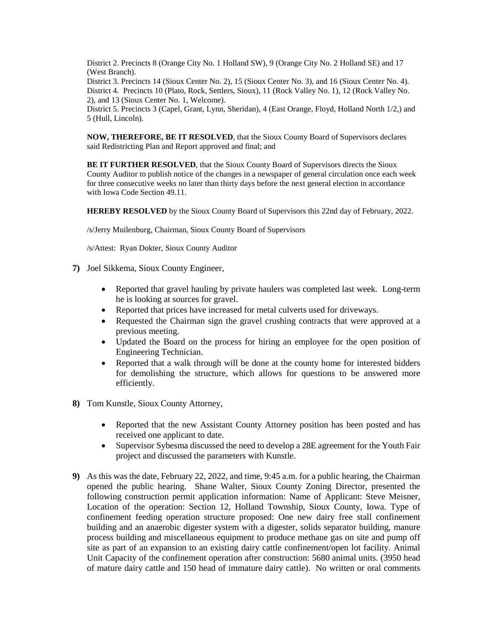District 2. Precincts 8 (Orange City No. 1 Holland SW), 9 (Orange City No. 2 Holland SE) and 17 (West Branch).

District 3. Precincts 14 (Sioux Center No. 2), 15 (Sioux Center No. 3), and 16 (Sioux Center No. 4). District 4. Precincts 10 (Plato, Rock, Settlers, Sioux), 11 (Rock Valley No. 1), 12 (Rock Valley No. 2), and 13 (Sioux Center No. 1, Welcome).

District 5. Precincts 3 (Capel, Grant, Lynn, Sheridan), 4 (East Orange, Floyd, Holland North 1/2,) and 5 (Hull, Lincoln).

**NOW, THEREFORE, BE IT RESOLVED**, that the Sioux County Board of Supervisors declares said Redistricting Plan and Report approved and final; and

**BE IT FURTHER RESOLVED**, that the Sioux County Board of Supervisors directs the Sioux County Auditor to publish notice of the changes in a newspaper of general circulation once each week for three consecutive weeks no later than thirty days before the next general election in accordance with Iowa Code Section 49.11.

**HEREBY RESOLVED** by the Sioux County Board of Supervisors this 22nd day of February, 2022.

/s/Jerry Muilenburg, Chairman, Sioux County Board of Supervisors

/s/Attest: Ryan Dokter, Sioux County Auditor

- **7)** Joel Sikkema, Sioux County Engineer,
	- Reported that gravel hauling by private haulers was completed last week. Long-term he is looking at sources for gravel.
	- Reported that prices have increased for metal culverts used for driveways.
	- Requested the Chairman sign the gravel crushing contracts that were approved at a previous meeting.
	- Updated the Board on the process for hiring an employee for the open position of Engineering Technician.
	- Reported that a walk through will be done at the county home for interested bidders for demolishing the structure, which allows for questions to be answered more efficiently.
- **8)** Tom Kunstle, Sioux County Attorney,
	- Reported that the new Assistant County Attorney position has been posted and has received one applicant to date.
	- Supervisor Sybesma discussed the need to develop a 28E agreement for the Youth Fair project and discussed the parameters with Kunstle.
- **9)** As this was the date, February 22, 2022, and time, 9:45 a.m. for a public hearing, the Chairman opened the public hearing. Shane Walter, Sioux County Zoning Director, presented the following construction permit application information: Name of Applicant: Steve Meisner, Location of the operation: Section 12, Holland Township, Sioux County, Iowa. Type of confinement feeding operation structure proposed: One new dairy free stall confinement building and an anaerobic digester system with a digester, solids separator building, manure process building and miscellaneous equipment to produce methane gas on site and pump off site as part of an expansion to an existing dairy cattle confinement/open lot facility. Animal Unit Capacity of the confinement operation after construction: 5680 animal units. (3950 head of mature dairy cattle and 150 head of immature dairy cattle). No written or oral comments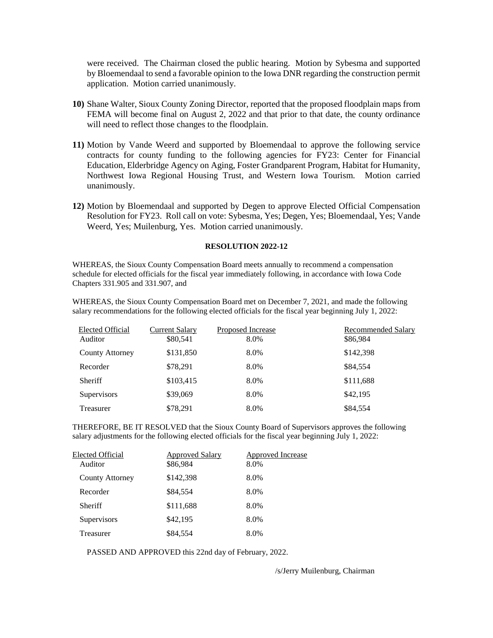were received. The Chairman closed the public hearing. Motion by Sybesma and supported by Bloemendaal to send a favorable opinion to the Iowa DNR regarding the construction permit application. Motion carried unanimously.

- **10)** Shane Walter, Sioux County Zoning Director, reported that the proposed floodplain maps from FEMA will become final on August 2, 2022 and that prior to that date, the county ordinance will need to reflect those changes to the floodplain.
- **11)** Motion by Vande Weerd and supported by Bloemendaal to approve the following service contracts for county funding to the following agencies for FY23: Center for Financial Education, Elderbridge Agency on Aging, Foster Grandparent Program, Habitat for Humanity, Northwest Iowa Regional Housing Trust, and Western Iowa Tourism. Motion carried unanimously.
- **12)** Motion by Bloemendaal and supported by Degen to approve Elected Official Compensation Resolution for FY23. Roll call on vote: Sybesma, Yes; Degen, Yes; Bloemendaal, Yes; Vande Weerd, Yes; Muilenburg, Yes. Motion carried unanimously.

#### **RESOLUTION 2022-12**

WHEREAS, the Sioux County Compensation Board meets annually to recommend a compensation schedule for elected officials for the fiscal year immediately following, in accordance with Iowa Code Chapters 331.905 and 331.907, and

WHEREAS, the Sioux County Compensation Board met on December 7, 2021, and made the following salary recommendations for the following elected officials for the fiscal year beginning July 1, 2022:

| Elected Official<br>Auditor | <b>Current Salary</b><br>\$80,541 | Proposed Increase<br>8.0% | Recommended Salary<br>\$86,984 |
|-----------------------------|-----------------------------------|---------------------------|--------------------------------|
| County Attorney             | \$131,850                         | 8.0%                      | \$142,398                      |
| Recorder                    | \$78.291                          | 8.0%                      | \$84,554                       |
| Sheriff                     | \$103,415                         | 8.0%                      | \$111,688                      |
| <b>Supervisors</b>          | \$39,069                          | 8.0%                      | \$42,195                       |
| Treasurer                   | \$78,291                          | 8.0%                      | \$84,554                       |

THEREFORE, BE IT RESOLVED that the Sioux County Board of Supervisors approves the following salary adjustments for the following elected officials for the fiscal year beginning July 1, 2022:

| Elected Official<br>Auditor | <b>Approved Salary</b><br>\$86,984 | <b>Approved Increase</b><br>8.0% |
|-----------------------------|------------------------------------|----------------------------------|
| County Attorney             | \$142,398                          | 8.0%                             |
| Recorder                    | \$84,554                           | 8.0%                             |
| <b>Sheriff</b>              | \$111,688                          | 8.0%                             |
| Supervisors                 | \$42,195                           | 8.0%                             |
| Treasurer                   | \$84,554                           | 8.0%                             |

PASSED AND APPROVED this 22nd day of February, 2022.

/s/Jerry Muilenburg, Chairman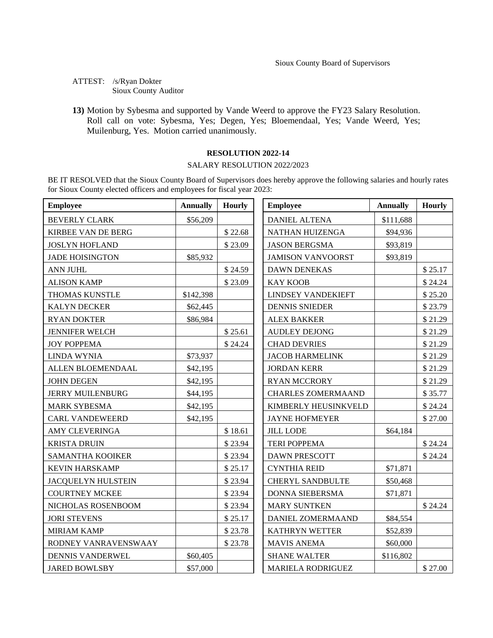ATTEST: /s/Ryan Dokter Sioux County Auditor

**13)** Motion by Sybesma and supported by Vande Weerd to approve the FY23 Salary Resolution. Roll call on vote: Sybesma, Yes; Degen, Yes; Bloemendaal, Yes; Vande Weerd, Yes; Muilenburg, Yes. Motion carried unanimously.

## **RESOLUTION 2022-14**

# SALARY RESOLUTION 2022/2023

BE IT RESOLVED that the Sioux County Board of Supervisors does hereby approve the following salaries and hourly rates for Sioux County elected officers and employees for fiscal year 2023:

| <b>Employee</b>           | <b>Annually</b> | <b>Hourly</b> | <b>Employee</b>           | <b>Annually</b> | <b>Hourly</b> |
|---------------------------|-----------------|---------------|---------------------------|-----------------|---------------|
| <b>BEVERLY CLARK</b>      | \$56,209        |               | <b>DANIEL ALTENA</b>      | \$111,688       |               |
| KIRBEE VAN DE BERG        |                 | \$22.68       | NATHAN HUIZENGA           | \$94,936        |               |
| <b>JOSLYN HOFLAND</b>     |                 | \$23.09       | <b>JASON BERGSMA</b>      | \$93,819        |               |
| <b>JADE HOISINGTON</b>    | \$85,932        |               | <b>JAMISON VANVOORST</b>  | \$93,819        |               |
| ANN JUHL                  |                 | \$24.59       | <b>DAWN DENEKAS</b>       |                 | \$25.17       |
| <b>ALISON KAMP</b>        |                 | \$23.09       | <b>KAY KOOB</b>           |                 | \$24.24       |
| THOMAS KUNSTLE            | \$142,398       |               | <b>LINDSEY VANDEKIEFT</b> |                 | \$25.20       |
| <b>KALYN DECKER</b>       | \$62,445        |               | <b>DENNIS SNIEDER</b>     |                 | \$23.79       |
| <b>RYAN DOKTER</b>        | \$86,984        |               | <b>ALEX BAKKER</b>        |                 | \$21.29       |
| <b>JENNIFER WELCH</b>     |                 | \$25.61       | <b>AUDLEY DEJONG</b>      |                 | \$21.29       |
| <b>JOY POPPEMA</b>        |                 | \$24.24       | <b>CHAD DEVRIES</b>       |                 | \$21.29       |
| <b>LINDA WYNIA</b>        | \$73,937        |               | JACOB HARMELINK           |                 | \$21.29       |
| ALLEN BLOEMENDAAL         | \$42,195        |               | <b>JORDAN KERR</b>        |                 | \$21.29       |
| <b>JOHN DEGEN</b>         | \$42,195        |               | <b>RYAN MCCRORY</b>       |                 | \$21.29       |
| <b>JERRY MUILENBURG</b>   | \$44,195        |               | <b>CHARLES ZOMERMAAND</b> |                 | \$35.77       |
| <b>MARK SYBESMA</b>       | \$42,195        |               | KIMBERLY HEUSINKVELD      |                 | \$24.24       |
| <b>CARL VANDEWEERD</b>    | \$42,195        |               | <b>JAYNE HOFMEYER</b>     |                 | \$27.00       |
| AMY CLEVERINGA            |                 | \$18.61       | <b>JILL LODE</b>          | \$64,184        |               |
| <b>KRISTA DRUIN</b>       |                 | \$23.94       | <b>TERI POPPEMA</b>       |                 | \$24.24       |
| SAMANTHA KOOIKER          |                 | \$23.94       | <b>DAWN PRESCOTT</b>      |                 | \$24.24       |
| <b>KEVIN HARSKAMP</b>     |                 | \$25.17       | <b>CYNTHIA REID</b>       | \$71,871        |               |
| <b>JACQUELYN HULSTEIN</b> |                 | \$23.94       | <b>CHERYL SANDBULTE</b>   | \$50,468        |               |
| <b>COURTNEY MCKEE</b>     |                 | \$23.94       | DONNA SIEBERSMA           | \$71,871        |               |
| NICHOLAS ROSENBOOM        |                 | \$23.94       | <b>MARY SUNTKEN</b>       |                 | \$24.24       |
| <b>JORI STEVENS</b>       |                 | \$25.17       | DANIEL ZOMERMAAND         | \$84,554        |               |
| <b>MIRIAM KAMP</b>        |                 | \$23.78       | KATHRYN WETTER            | \$52,839        |               |
| RODNEY VANRAVENSWAAY      |                 | \$23.78       | <b>MAVIS ANEMA</b>        | \$60,000        |               |
| DENNIS VANDERWEL          | \$60,405        |               | <b>SHANE WALTER</b>       | \$116,802       |               |
| <b>JARED BOWLSBY</b>      | \$57,000        |               | MARIELA RODRIGUEZ         |                 | \$27.00       |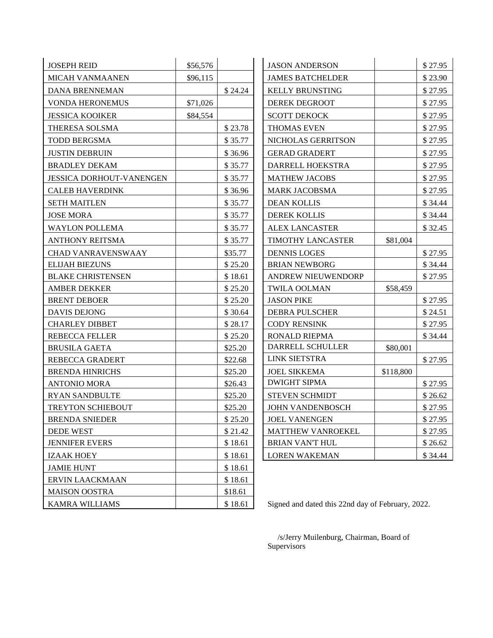| <b>JOSEPH REID</b>              | \$56,576 |         | <b>JASON ANDERSON</b>   |           | \$27.95 |
|---------------------------------|----------|---------|-------------------------|-----------|---------|
| MICAH VANMAANEN                 | \$96,115 |         | <b>JAMES BATCHELDER</b> |           | \$23.90 |
| <b>DANA BRENNEMAN</b>           |          | \$24.24 | <b>KELLY BRUNSTING</b>  |           | \$27.95 |
| <b>VONDA HERONEMUS</b>          | \$71,026 |         | <b>DEREK DEGROOT</b>    |           | \$27.95 |
| <b>JESSICA KOOIKER</b>          | \$84,554 |         | <b>SCOTT DEKOCK</b>     |           | \$27.95 |
| THERESA SOLSMA                  |          | \$23.78 | <b>THOMAS EVEN</b>      |           | \$27.95 |
| <b>TODD BERGSMA</b>             |          | \$35.77 | NICHOLAS GERRITSON      |           | \$27.95 |
| <b>JUSTIN DEBRUIN</b>           |          | \$36.96 | <b>GERAD GRADERT</b>    |           | \$27.95 |
| <b>BRADLEY DEKAM</b>            |          | \$35.77 | DARRELL HOEKSTRA        |           | \$27.95 |
| <b>JESSICA DORHOUT-VANENGEN</b> |          | \$35.77 | <b>MATHEW JACOBS</b>    |           | \$27.95 |
| <b>CALEB HAVERDINK</b>          |          | \$36.96 | <b>MARK JACOBSMA</b>    |           | \$27.95 |
| <b>SETH MAITLEN</b>             |          | \$35.77 | <b>DEAN KOLLIS</b>      |           | \$34.44 |
| <b>JOSE MORA</b>                |          | \$35.77 | <b>DEREK KOLLIS</b>     |           | \$34.44 |
| <b>WAYLON POLLEMA</b>           |          | \$35.77 | <b>ALEX LANCASTER</b>   |           | \$32.45 |
| <b>ANTHONY REITSMA</b>          |          | \$35.77 | TIMOTHY LANCASTER       | \$81,004  |         |
| <b>CHAD VANRAVENSWAAY</b>       |          | \$35.77 | <b>DENNIS LOGES</b>     |           | \$27.95 |
| <b>ELIJAH BIEZUNS</b>           |          | \$25.20 | <b>BRIAN NEWBORG</b>    |           | \$34.44 |
| <b>BLAKE CHRISTENSEN</b>        |          | \$18.61 | ANDREW NIEUWENDORP      |           | \$27.95 |
| <b>AMBER DEKKER</b>             |          | \$25.20 | <b>TWILA OOLMAN</b>     | \$58,459  |         |
| <b>BRENT DEBOER</b>             |          | \$25.20 | <b>JASON PIKE</b>       |           | \$27.95 |
| <b>DAVIS DEJONG</b>             |          | \$30.64 | <b>DEBRA PULSCHER</b>   |           | \$24.51 |
| <b>CHARLEY DIBBET</b>           |          | \$28.17 | <b>CODY RENSINK</b>     |           | \$27.95 |
| <b>REBECCA FELLER</b>           |          | \$25.20 | <b>RONALD RIEPMA</b>    |           | \$34.44 |
| <b>BRUSILA GAETA</b>            |          | \$25.20 | DARRELL SCHULLER        | \$80,001  |         |
| REBECCA GRADERT                 |          | \$22.68 | LINK SIETSTRA           |           | \$27.95 |
| <b>BRENDA HINRICHS</b>          |          | \$25.20 | <b>JOEL SIKKEMA</b>     | \$118,800 |         |
| <b>ANTONIO MORA</b>             |          | \$26.43 | <b>DWIGHT SIPMA</b>     |           | \$27.95 |
| <b>RYAN SANDBULTE</b>           |          | \$25.20 | <b>STEVEN SCHMIDT</b>   |           | \$26.62 |
| TREYTON SCHIEBOUT               |          | \$25.20 | JOHN VANDENBOSCH        |           | \$27.95 |
| <b>BRENDA SNIEDER</b>           |          | \$25.20 | <b>JOEL VANENGEN</b>    |           | \$27.95 |
| <b>DEDE WEST</b>                |          | \$21.42 | MATTHEW VANROEKEL       |           | \$27.95 |
| <b>JENNIFER EVERS</b>           |          | \$18.61 | <b>BRIAN VAN'T HUL</b>  |           | \$26.62 |
| <b>IZAAK HOEY</b>               |          | \$18.61 | <b>LOREN WAKEMAN</b>    |           | \$34.44 |
| <b>JAMIE HUNT</b>               |          | \$18.61 |                         |           |         |
| ERVIN LAACKMAAN                 |          | \$18.61 |                         |           |         |
| <b>MAISON OOSTRA</b>            |          | \$18.61 |                         |           |         |

KAMRA WILLIAMS \$18.61 Signed and dated this 22nd day of February, 2022.

 /s/Jerry Muilenburg, Chairman, Board of Supervisors